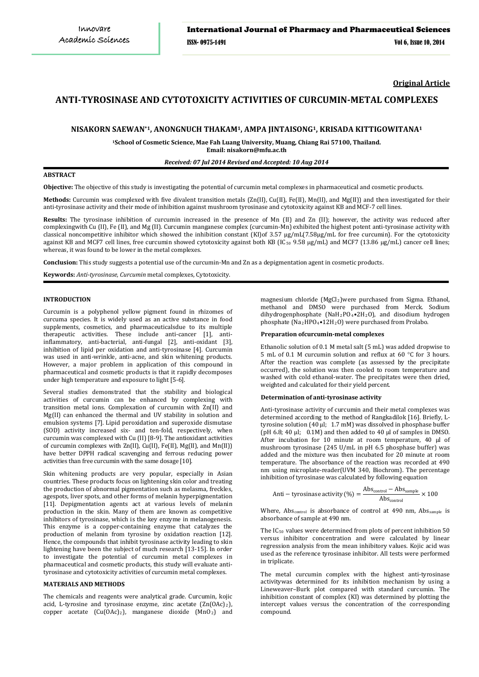**Original Article**

# **ANTI-TYROSINASE AND CYTOTOXICITY ACTIVITIES OF CURCUMIN-METAL COMPLEXES**

## **NISAKORN SAEWAN\*1, ANONGNUCH THAKAM1, AMPA JINTAISONG1, KRISADA KITTIGOWITANA1**

**1 School of Cosmetic Science, Mae Fah Luang University, Muang, Chiang Rai 57100, Thailand.**

**Email: nisakorn@mfu.ac.th**

## *Received: 07 Jul 2014 Revised and Accepted: 10 Aug 2014*

## **ABSTRACT**

**Objective:** The objective of this study is investigating the potential of curcumin metal complexes in pharmaceutical and cosmetic products.

**Methods:** Curcumin was complexed with five divalent transition metals (Zn(II), Cu(II), Fe(II), Mn(II), and Mg(II)) and then investigated for their anti-tyrosinase activity and their mode of inhibition against mushroom tyrosinase and cytotoxicity against KB and MCF-7 cell lines.

Results: The tyrosinase inhibition of curcumin increased in the presence of Mn (II) and Zn (II); however, the activity was reduced after complexingwith Cu (II), Fe (II), and Mg (II). Curcumin manganese complex (curcumin-Mn) exhibited the highest potent anti-tyrosinase activity with classical noncompetitive inhibitor which showed the inhibition constant (KI)of 3.57 µg/mL(7.58µg/mL for free curcumin). For the cytotoxicity against KB and MCF7 cell lines, free curcumin showed cytotoxicity against both KB (IC<sub>50</sub> 9.58 µg/mL) and MCF7 (13.86 µg/mL) cancer cell lines; whereas, it was found to be lower in the metal complexes.

**Conclusion:** This study suggests a potential use of the curcumin-Mn and Zn as a depigmentation agent in cosmetic products.

**Keywords:** *Anti-tyrosinase, Curcumin* metal complexes, Cytotoxicity.

## **INTRODUCTION**

Curcumin is a polyphenol yellow pigment found in rhizomes of curcuma species. It is widely used as an active substance in food supplements, cosmetics, and pharmaceuticalsdue to its multiple therapeutic activities. These include anti-cancer [1], antiinflammatory, anti-bacterial, anti-fungal [2], anti-oxidant [3], inhibition of lipid per oxidation and anti-tyrosinase [4]. Curcumin was used in anti-wrinkle, anti-acne, and skin whitening products. However, a major problem in application of this compound in pharmaceutical and cosmetic products is that it rapidly decomposes under high temperature and exposure to light [5-6].

Several studies demonstrated that the stability and biological activities of curcumin can be enhanced by complexing with transition metal ions. Complexation of curcumin with Zn(II) and Mg(II) can enhanced the thermal and UV stability in solution and emulsion systems [7]. Lipid peroxidation and superoxide dismutase (SOD) activity increased six- and ten-fold, respectively, when curcumin was complexed with Cu (II) [8-9]. The antioxidant activities of curcumin complexes with Zn(II), Cu(II), Fe(II), Mg(II), and Mn(II)) have better DPPH radical scavenging and ferrous reducing power activities than free curcumin with the same dosage [10].

Skin whitening products are very popular, especially in Asian countries. These products focus on lightening skin color and treating the production of abnormal pigmentation such as melasma, freckles, agespots, liver spots, and other forms of melanin hyperpigmentation [11]. Depigmentation agents act at various levels of melanin production in the skin. Many of them are known as competitive inhibitors of tyrosinase, which is the key enzyme in melanogenesis. This enzyme is a copper-containing enzyme that catalyzes the production of melanin from tyrosine by oxidation reaction [12]. Hence, the compounds that inhibit tyrosinase activity leading to skin lightening have been the subject of much research [13-15]. In order to investigate the potential of curcumin metal complexes in pharmaceutical and cosmetic products, this study will evaluate antityrosinase and cytotoxicity activities of curcumin metal complexes.

## **MATERIALS AND METHODS**

The chemicals and reagents were analytical grade. Curcumin, kojic acid, L-tyrosine and tyrosinase enzyme, zinc acetate  $(Zn(OAc))$ , copper acetate  $(Cu(OAc))$ , manganese dioxide  $(MnO<sub>2</sub>)$  and

magnesium chloride (MgCl2)were purchased from Sigma. Ethanol, methanol and DMSO were purchased from Merck. Sodium dihydrogenphosphate  $(NaH_2PO_4\bullet 2H_2O)$ , and disodium hydrogen phosphate (Na2HPO4•12H<sup>2</sup> O) were purchased from Prolabo.

## **Preparation ofcurcumin-metal complexes**

Ethanolic solution of 0.1 M metal salt (5 mL) was added dropwise to 5 mL of 0.1 M curcumin solution and reflux at 60 °C for 3 hours. After the reaction was complete (as assessed by the precipitate occurred), the solution was then cooled to room temperature and washed with cold ethanol-water. The precipitates were then dried, weighted and calculated for their yield percent.

#### **Determination of anti-tyrosinase activity**

Anti-tyrosinase activity of curcumin and their metal complexes was determined according to the method of Rangkadilok [16]. Briefly, Ltyrosine solution (40 µl; 1.7 mM) was dissolved in phosphase buffer ( $pH$  6.8; 40  $\mu$ ); 0.1M) and then added to 40  $\mu$ l of samples in DMSO. After incubation for 10 minute at room temperature, 40 µl of mushroom tyrosinase (245 U/mL in pH 6.5 phosphase buffer) was added and the mixture was then incubated for 20 minute at room temperature. The absorbance of the reaction was recorded at 490 nm using microplate-reader(UVM 340, Biochrom). The percentage inhibition of tyrosinase was calculated by following equation

$$
Anti - tyrosinase activity (\%) = \frac{Abs_{control} - Abs_{sample}}{Abs_{control}} \times 100
$$

Where, Abs<sub>control</sub> is absorbance of control at 490 nm, Abs<sub>sample</sub> is absorbance of sample at 490 nm.

The IC 50 values were determined from plots of percent inhibition 50 versus inhibitor concentration and were calculated by linear regression analysis from the mean inhibitory values. Kojic acid was used as the reference tyrosinase inhibitor. All tests were performed in triplicate.

The metal curcumin complex with the highest anti-tyrosinase activitywas determined for its inhibition mechanism by using a Lineweaver–Burk plot compared with standard curcumin. The inhibition constant of complex (KI) was determined by plotting the intercept values versus the concentration of the corresponding compound.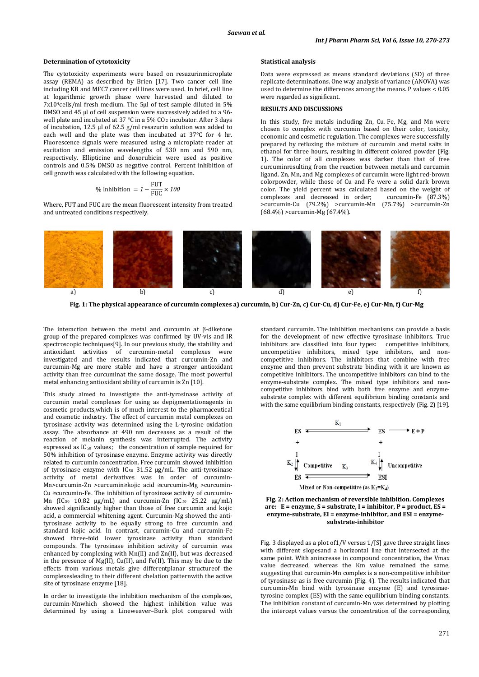#### **Determination of cytotoxicity**

The cytotoxicity experiments were based on resazurinmicroplate assay (REMA) as described by Brien [17]. Two cancer cell line including KB and MFC7 cancer cell lines were used. In brief, cell line at logarithmic growth phase were harvested and diluted to  $7x104$ cells/ml fresh medium. The 5µl of test sample diluted in 5% DMSO and 45 µl of cell suspension were successively added to a 96 well plate and incubated at 37  $\degree$ C in a 5% CO<sub>2</sub> incubator. After 3 days of incubation, 12.5 µl of 62.5 g/ml resazurin solution was added to each well and the plate was then incubated at 37°C for 4 hr. Fluorescence signals were measured using a microplate reader at excitation and emission wavelengths of 530 nm and 590 nm, respectively. Ellipticine and doxorubicin were used as positive controls and 0.5% DMSO as negative control. Percent inhibition of cell growth was calculated with the following equation.

$$
\% Inhibition = 1 - \frac{FUT}{FUC} \times 100
$$

Where, FUT and FUC are the mean fluorescent intensity from treated and untreated conditions respectively.

#### **Statistical analysis**

Data were expressed as means standard deviations (SD) of three replicate determinations. One way analysis of variance (ANOVA) was used to determine the differences among the means. P values < 0.05 were regarded as significant.

## **RESULTS AND DISCUSSIONS**

In this study, five metals including Zn, Cu, Fe, Mg, and Mn were chosen to complex with curcumin based on their color, toxicity, economic and cosmetic regulation. The complexes were successfully prepared by refluxing the mixture of curcumin and metal salts in ethanol for three hours, resulting in different colored powder (Fig. 1). The color of all complexes was darker than that of free curcuminresulting from the reaction between metals and curcumin ligand. Zn, Mn, and Mg complexes of curcumin were light red-brown colorpowder, while those of Cu and Fe were a solid dark brown color. The yield percent was calculated based on the weight of complexes and decreased in order: curcumin-Fe (87.3%) complexes and decreased in order: >curcumin-Cu (79.2%) >curcumin-Mn (75.7%) >curcumin-Zn (68.4%) >curcumin-Mg (67.4%).



**Fig. 1: The physical appearance of curcumin complexes a) curcumin, b) Cur-Zn, c) Cur-Cu, d) Cur-Fe, e) Cur-Mn, f) Cur-Mg**

The interaction between the metal and curcumin at β-diketone group of the prepared complexes was confirmed by UV-vis and IR spectroscopic techniques[9]. In our previous study, the stability and antioxidant activities of curcumin-metal complexes were investigated and the results indicated that curcumin-Zn and curcumin-Mg are more stable and have a stronger antioxidant activity than free curcuminat the same dosage. The most powerful metal enhancing antioxidant ability of curcumin is Zn [10].

This study aimed to investigate the anti-tyrosinase activity of curcumin metal complexes for using as depigmentationagents in cosmetic products,which is of much interest to the pharmaceutical and cosmetic industry. The effect of curcumin metal complexes on tyrosinase activity was determined using the L-tyrosine oxidation assay. The absorbance at 490 nm decreases as a result of the reaction of melanin synthesis was interrupted. The activity expressed as  $IC_{50}$  values; the concentration of sample required for 50% inhibition of tyrosinase enzyme. Enzyme activity was directly related to curcumin concentration. Free curcumin showed inhibition of tyrosinase enzyme with  $IC_{50}$  31.52  $\mu$ g/mL. The anti-tyrosinase activity of metal derivatives was in order of curcumin-Mn>curcumin-Zn >curcumin≅kojic acid ≅curcumin-Mg >curcumin-Cu ≅curcumin-Fe. The inhibition of tyrosinase activity of curcumin-Mn (IC<sub>50</sub> 10.82  $\mu$ g/mL) and curcumin-Zn (IC<sub>50</sub> 25.22  $\mu$ g/mL) showed significantly higher than those of free curcumin and kojic acid, a commercial whitening agent. Curcumin-Mg showed the antityrosinase activity to be equally strong to free curcumin and standard kojic acid. In contrast, curcumin-Cu and curcumin-Fe showed three-fold lower tyrosinase activity than standard compounds. The tyrosinase inhibition activity of curcumin was enhanced by complexing with Mn(II) and Zn(II), but was decreased in the presence of Mg(II), Cu(II), and Fe(II). This may be due to the effects from various metals give differentplanar structureof the complexesleading to their different chelation patternwith the active site of tyrosinase enzyme [18].

In order to investigate the inhibition mechanism of the complexes, curcumin-Mnwhich showed the highest inhibition value was determined by using a Lineweaver–Burk plot compared with

standard curcumin. The inhibition mechanisms can provide a basis for the development of new effective tyrosinase inhibitors. True inhibitors are classified into four types: competitive inhibitors, uncompetitive inhibitors, mixed type inhibitors, and noncompetitive inhibitors. The inhibitors that combine with free enzyme and then prevent substrate binding with it are known as competitive inhibitors. The uncompetitive inhibitors can bind to the enzyme-substrate complex. The mixed type inhibitors and noncompetitive inhibitors bind with both free enzyme and enzymesubstrate complex with different equilibrium binding constants and with the same equilibrium binding constants, respectively (Fig. 2) [19].





Fig. 3 displayed as a plot of1/V versus 1/[S] gave three straight lines with different slopesand a horizontal line that intersected at the same point. With anincrease in compound concentration, the Vmax value decreased, whereas the Km value remained the same, suggesting that curcumin-Mn complex is a non-competitive inhibitor of tyrosinase as is free curcumin (Fig. 4). The results indicated that curcumin-Mn bind with tyrosinase enzyme (E) and tyrosinaetyrosine complex (ES) with the same equilibrium binding constants. The inhibition constant of curcumin-Mn was determined by plotting the intercept values versus the concentration of the corresponding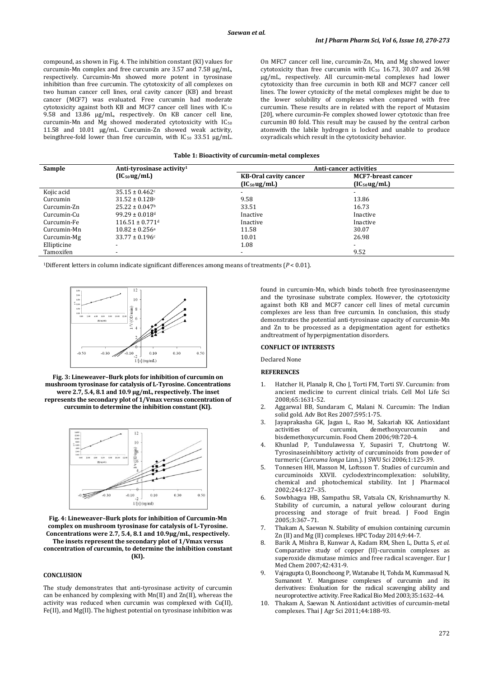compound, as shown in Fig. 4. The inhibition constant (KI) values for curcumin-Mn complex and free curcumin are 3.57 and 7.58 µg/mL, respectively. Curcumin-Mn showed more potent in tyrosinase inhibition than free curcumin. The cytotoxicity of all complexes on two human cancer cell lines, oral cavity cancer (KB) and breast cancer (MCF7) was evaluated. Free curcumin had moderate cytotoxicity against both KB and MCF7 cancer cell lines with  $IC_{50}$ 9.58 and 13.86 µg/mL, respectively. On KB cancer cell line, curcumin-Mn and Mg showed moderated cytotoxicity with  $IC_{50}$ 11.58 and 10.01 µg/mL. Curcumin-Zn showed weak activity, beingthree-fold lower than free curcumin, with  $IC_{50}$  33.51  $\mu$ g/mL. On MFC7 cancer cell line, curcumin-Zn, Mn, and Mg showed lower cytotoxicity than free curcumin with  $IC_{50}$  16.73, 30.07 and 26.98 µg/mL, respectively. All curcumin-metal complexes had lower cytotoxicity than free curcumin in both KB and MCF7 cancer cell lines. The lower cytoxicity of the metal complexes might be due to the lower solubility of complexes when compared with free curcumin. These results are in related with the report of Mutasim [20], where curcumin-Fe complex showed lower cytotoxic than free curcumin 80 fold. This result may be caused by the central carbon atomwith the labile hydrogen is locked and unable to produce oxyradicals which result in the cytotoxicity behavior.

## **Table 1: Bioactivity of curcumin-metal complexes**

| Sample      | Anti-tyrosinase activity <sup>1</sup> | Anti-cancer activities       |                           |  |
|-------------|---------------------------------------|------------------------------|---------------------------|--|
|             | $(IC_{50}ug/mL)$                      | <b>KB-Oral cavity cancer</b> | <b>MCF7-breast cancer</b> |  |
|             |                                       | $(IC_{50}ug/mL)$             | $(IC_{50}ug/mL)$          |  |
| Kojic acid  | $35.15 \pm 0.462c$                    | -                            |                           |  |
| Curcumin    | $31.52 \pm 0.128$ c                   | 9.58                         | 13.86                     |  |
| Curcumin-Zn | $25.22 \pm 0.047$ <sup>b</sup>        | 33.51                        | 16.73                     |  |
| Curcumin-Cu | $99.29 \pm 0.018$ <sup>d</sup>        | Inactive                     | Inactive                  |  |
| Curcumin-Fe | $116.51 \pm 0.771$ <sup>d</sup>       | Inactive                     | Inactive                  |  |
| Curcumin-Mn | $10.82 \pm 0.256$ <sup>a</sup>        | 11.58                        | 30.07                     |  |
| Curcumin-Mg | $33.77 \pm 0.196c$                    | 10.01                        | 26.98                     |  |
| Ellipticine |                                       | 1.08                         |                           |  |
| Tamoxifen   |                                       |                              | 9.52                      |  |

1Different letters in column indicate significant differences among means of treatments (*P* < 0.01).



**Fig. 3: Lineweaver–Burk plots for inhibition of curcumin on mushroom tyrosinase for catalysis of L-Tyrosine. Concentrations were 2.7, 5.4, 8.1 and 10.9 µg/mL, respectively. The inset represents the secondary plot of 1/Vmax versus concentration of curcumin to determine the inhibition constant (KI).**



**Fig. 4: Lineweaver–Burk plots for inhibition of Curcumin-Mn complex on mushroom tyrosinase for catalysis of L-Tyrosine. Concentrations were 2.7, 5.4, 8.1 and 10.9µg/mL, respectively. The insets represent the secondary plot of 1/Vmax versus concentration of curcumin, to determine the inhibition constant (KI).**

### **CONCLUSION**

The study demonstrates that anti-tyrosinase activity of curcumin can be enhanced by complexing with Mn(II) and Zn(II), whereas the activity was reduced when curcumin was complexed with Cu(II), Fe(II), and Mg(II). The highest potential on tyrosinase inhibition was found in curcumin-Mn, which binds toboth free tyrosinaseenzyme and the tyrosinase substrate complex. However, the cytotoxicity against both KB and MCF7 cancer cell lines of metal curcumin complexes are less than free curcumin. In conclusion, this study demonstrates the potential anti-tyrosinase capacity of curcumin-Mn and Zn to be processed as a depigmentation agent for esthetics andtreatment of hyperpigmentation disorders.

## **CONFLICT OF INTERESTS**

Declared None

#### **REFERENCES**

- 1. Hatcher H, Planalp R, Cho J, Torti FM, Torti SV. Curcumin: from ancient medicine to current clinical trials. Cell Mol Life Sci 2008;65:1631-52.
- 2. Aggarwal BB, Sundaram C, Malani N. Curcumin: The Indian solid gold. Adv Bot Res 2007;595:1-75.
- 3. Jayaprakasha GK, Jagan L, Rao M, Sakariah KK. Antioxidant activities of curcumin, demethoxycurcumin and bisdemethoxycurcumin. Food Chem 2006;98:720-4.
- 4. Khunlad P, Tundulawessa Y, Supasiri T, Chutrtong W. Tyrosinaseinhibitory activity of curcuminoids from powder of turmeric (*Curcuma longa* Linn.). J SWU Sci 2006;1:125-39.
- 5. Tonnesen HH, Masson M, Loftsson T. Studies of curcumin and curcuminoids XXVII. cyclodextrincomplexation: solubility, chemical and photochemical stability. Int J Pharmacol 2002;244:127–35.
- 6. Sowbhagya HB, Sampathu SR, Vatsala CN, Krishnamurthy N. Stability of curcumin, a natural yellow colourant during processing and storage of fruit bread. J Food Engin 2005;3:367–71.
- Thakam A, Saewan N. Stability of emulsion containing curcumin Zn (II) and Mg (II) complexes. HPC Today 2014;9:44-7.
- 8. Barik A, Mishra B, Kunwar A, Kadam RM, Shen L, Dutta S, *et al*. Comparative study of copper (II)-curcumin complexes as superoxide dismutase mimics and free radical scavenger. Eur J Med Chem 2007;42:431-9.
- 9. Vajragupta O, Boonchoong P, Watanabe H, Tohda M, Kummasud N, Sumanont Y. Manganese complexes of curcumin and its derivatives: Evaluation for the radical scavenging ability and neuroprotective activity. Free Radical Bio Med 2003;35:1632–44.
- 10. Thakam A, Saewan N. Antioxidant activities of curcumin-metal complexes. Thai J Agr Sci 2011;44:188-93.